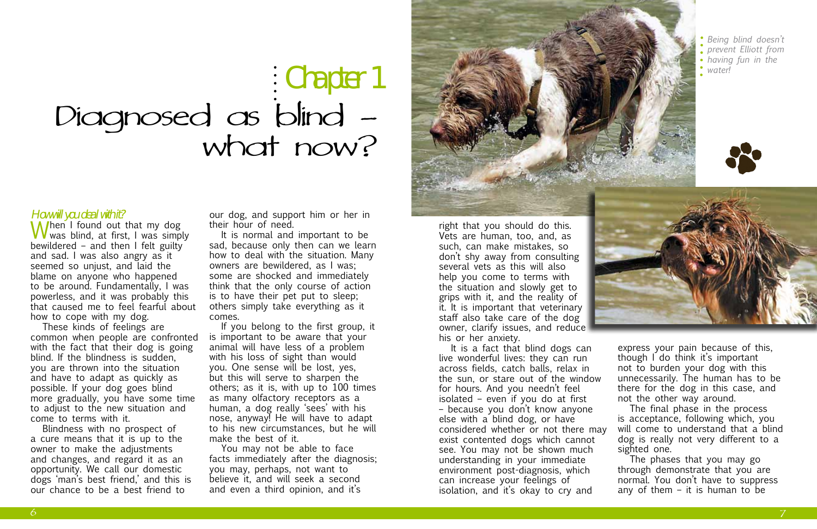# Diagnosed as blind what now? Chapter 1

How will you deal with it?<br> $\bigwedge$  / / / / / / / / / / / / / / out that my dog When I found out that my dog<br>was blind, at first, I was simply<br>havilational condition of the military bewildered – and then I felt guilty and sad. I was also angry as it seemed so unjust, and laid the blame on anyone who happened to be around. Fundamentally, I was powerless, and it was probably this that caused me to feel fearful about how to cope with my dog.

These kinds of feelings are common when people are confronted with the fact that their dog is going blind. If the blindness is sudden, you are thrown into the situation and have to adapt as quickly as possible. If your dog goes blind more gradually, you have some time to adjust to the new situation and come to terms with it.

Blindness with no prospect of a cure means that it is up to the owner to make the adjustments and changes, and regard it as an opportunity. We call our domestic dogs 'man's best friend,' and this is our chance to be a best friend to

our dog, and support him or her in their hour of need.

It is normal and important to be sad, because only then can we learn how to deal with the situation. Many owners are bewildered, as I was; some are shocked and immediately think that the only course of action is to have their pet put to sleep; others simply take everything as it comes.

If you belong to the first group, it is important to be aware that your animal will have less of a problem with his loss of sight than would you. One sense will be lost, yes, but this will serve to sharpen the others; as it is, with up to 100 times as many olfactory receptors as a human, a dog really 'sees' with his nose, anyway! He will have to adapt to his new circumstances, but he will make the best of it.

You may not be able to face facts immediately after the diagnosis; you may, perhaps, not want to believe it, and will seek a second and even a third opinion, and it's





*Being blind doesn't prevent Elliott from having fun in the* 

*water!*

right that you should do this. Vets are human, too, and, as such, can make mistakes, so don't shy away from consulting several vets as this will also help you come to terms with the situation and slowly get to grips with it, and the reality of it. It is important that veterinary staff also take care of the dog owner, clarify issues, and reduce his or her anxiety.

It is a fact that blind dogs can live wonderful lives: they can run across fields, catch balls, relax in the sun, or stare out of the window for hours. And you needn't feel isolated – even if you do at first – because you don't know anyone else with a blind dog, or have considered whether or not there may exist contented dogs which cannot see. You may not be shown much understanding in your immediate environment post-diagnosis, which can increase your feelings of isolation, and it's okay to cry and



express your pain because of this, though I do think it's important not to burden your dog with this unnecessarily. The human has to be there for the dog in this case, and not the other way around.

The final phase in the process is acceptance, following which, you will come to understand that a blind dog is really not very different to a sighted one.

The phases that you may go through demonstrate that you are normal. You don't have to suppress any of them – it is human to be